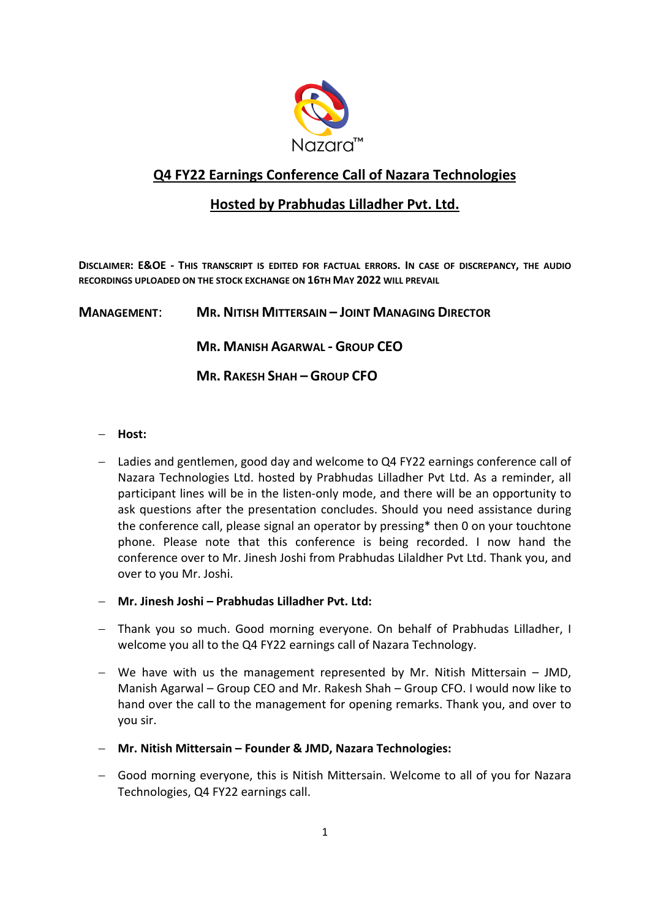

# **Q4 FY22 Earnings Conference Call of Nazara Technologies**

# **Hosted by Prabhudas Lilladher Pvt. Ltd.**

**DISCLAIMER: E&OE - THIS TRANSCRIPT IS EDITED FOR FACTUAL ERRORS. IN CASE OF DISCREPANCY, THE AUDIO RECORDINGS UPLOADED ON THE STOCK EXCHANGE ON 16TH MAY 2022 WILL PREVAIL**

| <b>MANAGEMENT:</b> | <b>MR. NITISH MITTERSAIN - JOINT MANAGING DIRECTOR</b> |
|--------------------|--------------------------------------------------------|
|                    | <b>MR. MANISH AGARWAL - GROUP CEO</b>                  |
|                    | $MR$ . RAKESH SHAH – GROUP CFO                         |

- − **Host:**
- − Ladies and gentlemen, good day and welcome to Q4 FY22 earnings conference call of Nazara Technologies Ltd. hosted by Prabhudas Lilladher Pvt Ltd. As a reminder, all participant lines will be in the listen-only mode, and there will be an opportunity to ask questions after the presentation concludes. Should you need assistance during the conference call, please signal an operator by pressing\* then 0 on your touchtone phone. Please note that this conference is being recorded. I now hand the conference over to Mr. Jinesh Joshi from Prabhudas Lilaldher Pvt Ltd. Thank you, and over to you Mr. Joshi.
- − **Mr. Jinesh Joshi Prabhudas Lilladher Pvt. Ltd:**
- − Thank you so much. Good morning everyone. On behalf of Prabhudas Lilladher, I welcome you all to the Q4 FY22 earnings call of Nazara Technology.
- − We have with us the management represented by Mr. Nitish Mittersain JMD, Manish Agarwal – Group CEO and Mr. Rakesh Shah – Group CFO. I would now like to hand over the call to the management for opening remarks. Thank you, and over to you sir.
- − **Mr. Nitish Mittersain Founder & JMD, Nazara Technologies:**
- − Good morning everyone, this is Nitish Mittersain. Welcome to all of you for Nazara Technologies, Q4 FY22 earnings call.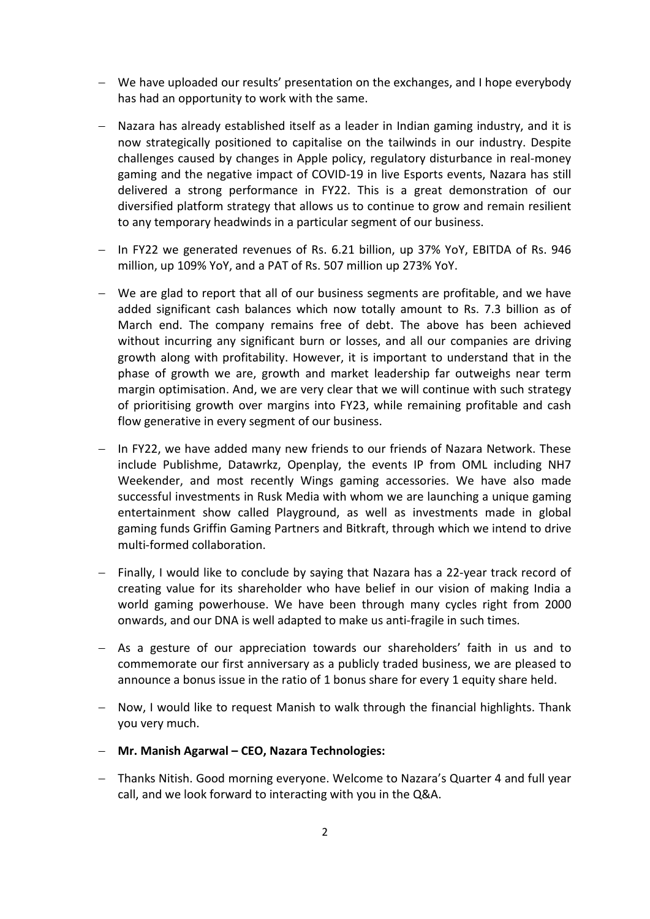- − We have uploaded our results' presentation on the exchanges, and I hope everybody has had an opportunity to work with the same.
- − Nazara has already established itself as a leader in Indian gaming industry, and it is now strategically positioned to capitalise on the tailwinds in our industry. Despite challenges caused by changes in Apple policy, regulatory disturbance in real-money gaming and the negative impact of COVID-19 in live Esports events, Nazara has still delivered a strong performance in FY22. This is a great demonstration of our diversified platform strategy that allows us to continue to grow and remain resilient to any temporary headwinds in a particular segment of our business.
- − In FY22 we generated revenues of Rs. 6.21 billion, up 37% YoY, EBITDA of Rs. 946 million, up 109% YoY, and a PAT of Rs. 507 million up 273% YoY.
- − We are glad to report that all of our business segments are profitable, and we have added significant cash balances which now totally amount to Rs. 7.3 billion as of March end. The company remains free of debt. The above has been achieved without incurring any significant burn or losses, and all our companies are driving growth along with profitability. However, it is important to understand that in the phase of growth we are, growth and market leadership far outweighs near term margin optimisation. And, we are very clear that we will continue with such strategy of prioritising growth over margins into FY23, while remaining profitable and cash flow generative in every segment of our business.
- − In FY22, we have added many new friends to our friends of Nazara Network. These include Publishme, Datawrkz, Openplay, the events IP from OML including NH7 Weekender, and most recently Wings gaming accessories. We have also made successful investments in Rusk Media with whom we are launching a unique gaming entertainment show called Playground, as well as investments made in global gaming funds Griffin Gaming Partners and Bitkraft, through which we intend to drive multi-formed collaboration.
- − Finally, I would like to conclude by saying that Nazara has a 22-year track record of creating value for its shareholder who have belief in our vision of making India a world gaming powerhouse. We have been through many cycles right from 2000 onwards, and our DNA is well adapted to make us anti-fragile in such times.
- − As a gesture of our appreciation towards our shareholders' faith in us and to commemorate our first anniversary as a publicly traded business, we are pleased to announce a bonus issue in the ratio of 1 bonus share for every 1 equity share held.
- − Now, I would like to request Manish to walk through the financial highlights. Thank you very much.
- − **Mr. Manish Agarwal – CEO, Nazara Technologies:**
- − Thanks Nitish. Good morning everyone. Welcome to Nazara's Quarter 4 and full year call, and we look forward to interacting with you in the Q&A.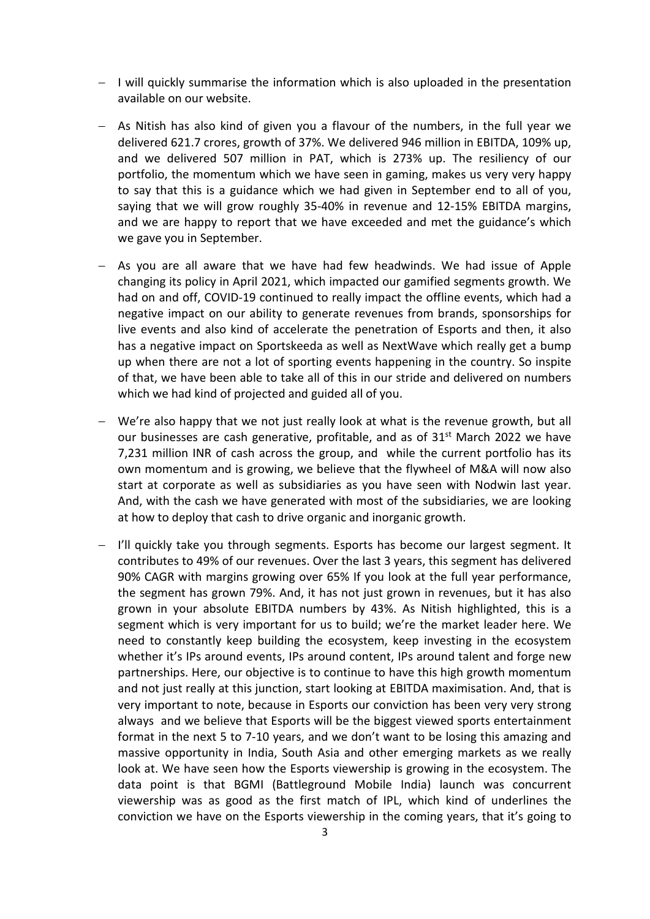- − I will quickly summarise the information which is also uploaded in the presentation available on our website.
- − As Nitish has also kind of given you a flavour of the numbers, in the full year we delivered 621.7 crores, growth of 37%. We delivered 946 million in EBITDA, 109% up, and we delivered 507 million in PAT, which is 273% up. The resiliency of our portfolio, the momentum which we have seen in gaming, makes us very very happy to say that this is a guidance which we had given in September end to all of you, saying that we will grow roughly 35-40% in revenue and 12-15% EBITDA margins, and we are happy to report that we have exceeded and met the guidance's which we gave you in September.
- − As you are all aware that we have had few headwinds. We had issue of Apple changing its policy in April 2021, which impacted our gamified segments growth. We had on and off, COVID-19 continued to really impact the offline events, which had a negative impact on our ability to generate revenues from brands, sponsorships for live events and also kind of accelerate the penetration of Esports and then, it also has a negative impact on Sportskeeda as well as NextWave which really get a bump up when there are not a lot of sporting events happening in the country. So inspite of that, we have been able to take all of this in our stride and delivered on numbers which we had kind of projected and guided all of you.
- We're also happy that we not just really look at what is the revenue growth, but all our businesses are cash generative, profitable, and as of  $31<sup>st</sup>$  March 2022 we have 7,231 million INR of cash across the group, and while the current portfolio has its own momentum and is growing, we believe that the flywheel of M&A will now also start at corporate as well as subsidiaries as you have seen with Nodwin last year. And, with the cash we have generated with most of the subsidiaries, we are looking at how to deploy that cash to drive organic and inorganic growth.
- − I'll quickly take you through segments. Esports has become our largest segment. It contributes to 49% of our revenues. Over the last 3 years, this segment has delivered 90% CAGR with margins growing over 65% If you look at the full year performance, the segment has grown 79%. And, it has not just grown in revenues, but it has also grown in your absolute EBITDA numbers by 43%. As Nitish highlighted, this is a segment which is very important for us to build; we're the market leader here. We need to constantly keep building the ecosystem, keep investing in the ecosystem whether it's IPs around events, IPs around content, IPs around talent and forge new partnerships. Here, our objective is to continue to have this high growth momentum and not just really at this junction, start looking at EBITDA maximisation. And, that is very important to note, because in Esports our conviction has been very very strong always and we believe that Esports will be the biggest viewed sports entertainment format in the next 5 to 7-10 years, and we don't want to be losing this amazing and massive opportunity in India, South Asia and other emerging markets as we really look at. We have seen how the Esports viewership is growing in the ecosystem. The data point is that BGMI (Battleground Mobile India) launch was concurrent viewership was as good as the first match of IPL, which kind of underlines the conviction we have on the Esports viewership in the coming years, that it's going to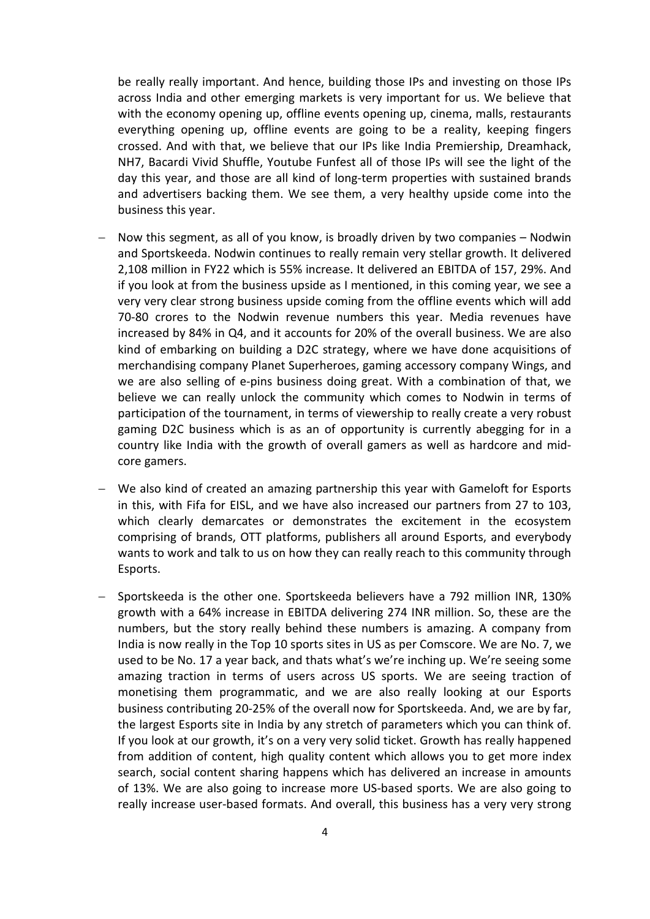be really really important. And hence, building those IPs and investing on those IPs across India and other emerging markets is very important for us. We believe that with the economy opening up, offline events opening up, cinema, malls, restaurants everything opening up, offline events are going to be a reality, keeping fingers crossed. And with that, we believe that our IPs like India Premiership, Dreamhack, NH7, Bacardi Vivid Shuffle, Youtube Funfest all of those IPs will see the light of the day this year, and those are all kind of long-term properties with sustained brands and advertisers backing them. We see them, a very healthy upside come into the business this year.

- Now this segment, as all of you know, is broadly driven by two companies Nodwin and Sportskeeda. Nodwin continues to really remain very stellar growth. It delivered 2,108 million in FY22 which is 55% increase. It delivered an EBITDA of 157, 29%. And if you look at from the business upside as I mentioned, in this coming year, we see a very very clear strong business upside coming from the offline events which will add 70-80 crores to the Nodwin revenue numbers this year. Media revenues have increased by 84% in Q4, and it accounts for 20% of the overall business. We are also kind of embarking on building a D2C strategy, where we have done acquisitions of merchandising company Planet Superheroes, gaming accessory company Wings, and we are also selling of e-pins business doing great. With a combination of that, we believe we can really unlock the community which comes to Nodwin in terms of participation of the tournament, in terms of viewership to really create a very robust gaming D2C business which is as an of opportunity is currently abegging for in a country like India with the growth of overall gamers as well as hardcore and midcore gamers.
- − We also kind of created an amazing partnership this year with Gameloft for Esports in this, with Fifa for EISL, and we have also increased our partners from 27 to 103, which clearly demarcates or demonstrates the excitement in the ecosystem comprising of brands, OTT platforms, publishers all around Esports, and everybody wants to work and talk to us on how they can really reach to this community through Esports.
- − Sportskeeda is the other one. Sportskeeda believers have a 792 million INR, 130% growth with a 64% increase in EBITDA delivering 274 INR million. So, these are the numbers, but the story really behind these numbers is amazing. A company from India is now really in the Top 10 sports sites in US as per Comscore. We are No. 7, we used to be No. 17 a year back, and thats what's we're inching up. We're seeing some amazing traction in terms of users across US sports. We are seeing traction of monetising them programmatic, and we are also really looking at our Esports business contributing 20-25% of the overall now for Sportskeeda. And, we are by far, the largest Esports site in India by any stretch of parameters which you can think of. If you look at our growth, it's on a very very solid ticket. Growth has really happened from addition of content, high quality content which allows you to get more index search, social content sharing happens which has delivered an increase in amounts of 13%. We are also going to increase more US-based sports. We are also going to really increase user-based formats. And overall, this business has a very very strong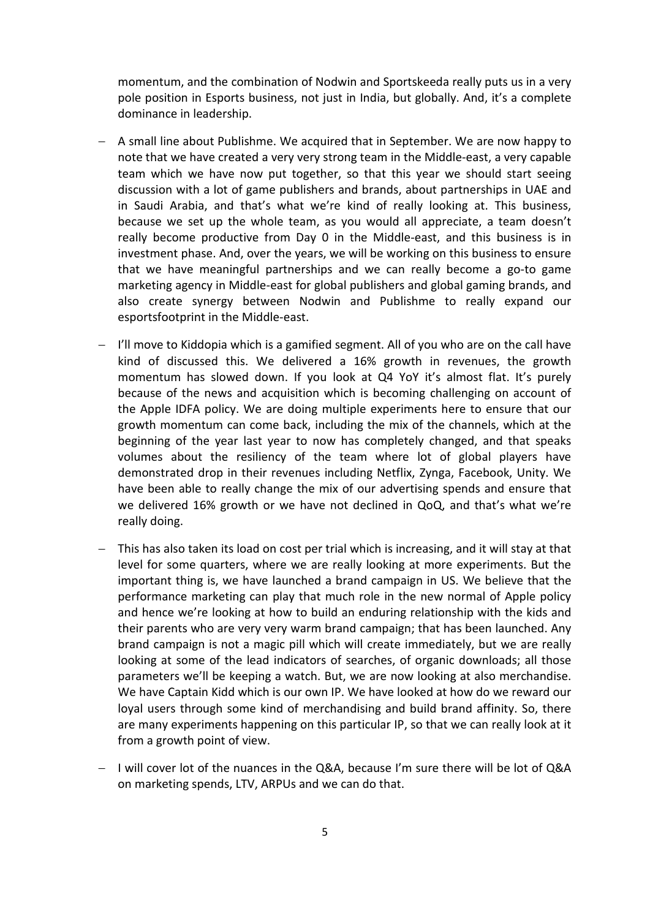momentum, and the combination of Nodwin and Sportskeeda really puts us in a very pole position in Esports business, not just in India, but globally. And, it's a complete dominance in leadership.

- − A small line about Publishme. We acquired that in September. We are now happy to note that we have created a very very strong team in the Middle-east, a very capable team which we have now put together, so that this year we should start seeing discussion with a lot of game publishers and brands, about partnerships in UAE and in Saudi Arabia, and that's what we're kind of really looking at. This business, because we set up the whole team, as you would all appreciate, a team doesn't really become productive from Day 0 in the Middle-east, and this business is in investment phase. And, over the years, we will be working on this business to ensure that we have meaningful partnerships and we can really become a go-to game marketing agency in Middle-east for global publishers and global gaming brands, and also create synergy between Nodwin and Publishme to really expand our esportsfootprint in the Middle-east.
- I'll move to Kiddopia which is a gamified segment. All of you who are on the call have kind of discussed this. We delivered a 16% growth in revenues, the growth momentum has slowed down. If you look at Q4 YoY it's almost flat. It's purely because of the news and acquisition which is becoming challenging on account of the Apple IDFA policy. We are doing multiple experiments here to ensure that our growth momentum can come back, including the mix of the channels, which at the beginning of the year last year to now has completely changed, and that speaks volumes about the resiliency of the team where lot of global players have demonstrated drop in their revenues including Netflix, Zynga, Facebook, Unity. We have been able to really change the mix of our advertising spends and ensure that we delivered 16% growth or we have not declined in QoQ, and that's what we're really doing.
- This has also taken its load on cost per trial which is increasing, and it will stay at that level for some quarters, where we are really looking at more experiments. But the important thing is, we have launched a brand campaign in US. We believe that the performance marketing can play that much role in the new normal of Apple policy and hence we're looking at how to build an enduring relationship with the kids and their parents who are very very warm brand campaign; that has been launched. Any brand campaign is not a magic pill which will create immediately, but we are really looking at some of the lead indicators of searches, of organic downloads; all those parameters we'll be keeping a watch. But, we are now looking at also merchandise. We have Captain Kidd which is our own IP. We have looked at how do we reward our loyal users through some kind of merchandising and build brand affinity. So, there are many experiments happening on this particular IP, so that we can really look at it from a growth point of view.
- − I will cover lot of the nuances in the Q&A, because I'm sure there will be lot of Q&A on marketing spends, LTV, ARPUs and we can do that.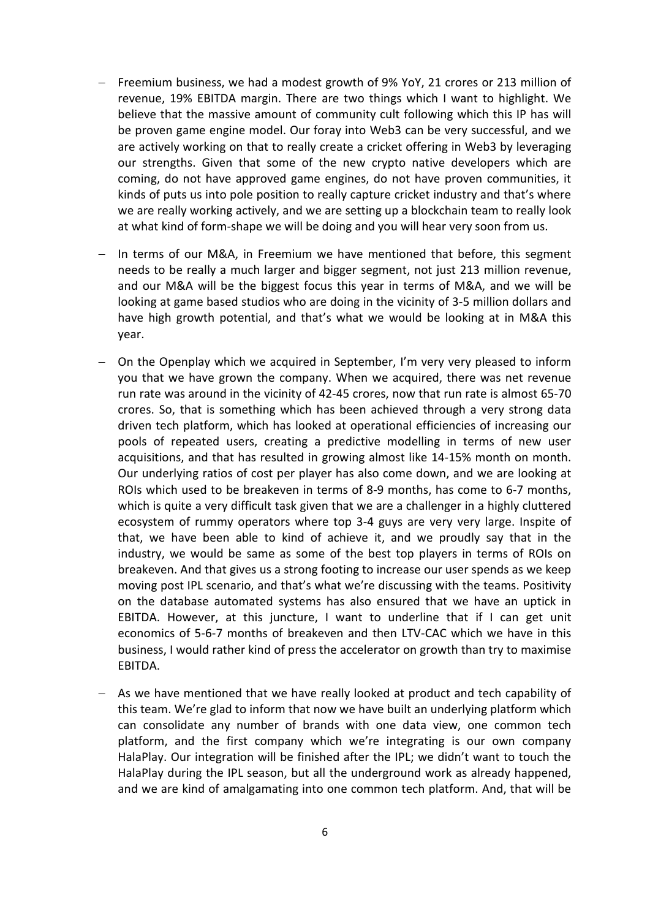- Freemium business, we had a modest growth of 9% YoY, 21 crores or 213 million of revenue, 19% EBITDA margin. There are two things which I want to highlight. We believe that the massive amount of community cult following which this IP has will be proven game engine model. Our foray into Web3 can be very successful, and we are actively working on that to really create a cricket offering in Web3 by leveraging our strengths. Given that some of the new crypto native developers which are coming, do not have approved game engines, do not have proven communities, it kinds of puts us into pole position to really capture cricket industry and that's where we are really working actively, and we are setting up a blockchain team to really look at what kind of form-shape we will be doing and you will hear very soon from us.
- − In terms of our M&A, in Freemium we have mentioned that before, this segment needs to be really a much larger and bigger segment, not just 213 million revenue, and our M&A will be the biggest focus this year in terms of M&A, and we will be looking at game based studios who are doing in the vicinity of 3-5 million dollars and have high growth potential, and that's what we would be looking at in M&A this year.
- − On the Openplay which we acquired in September, I'm very very pleased to inform you that we have grown the company. When we acquired, there was net revenue run rate was around in the vicinity of 42-45 crores, now that run rate is almost 65-70 crores. So, that is something which has been achieved through a very strong data driven tech platform, which has looked at operational efficiencies of increasing our pools of repeated users, creating a predictive modelling in terms of new user acquisitions, and that has resulted in growing almost like 14-15% month on month. Our underlying ratios of cost per player has also come down, and we are looking at ROIs which used to be breakeven in terms of 8-9 months, has come to 6-7 months, which is quite a very difficult task given that we are a challenger in a highly cluttered ecosystem of rummy operators where top 3-4 guys are very very large. Inspite of that, we have been able to kind of achieve it, and we proudly say that in the industry, we would be same as some of the best top players in terms of ROIs on breakeven. And that gives us a strong footing to increase our user spends as we keep moving post IPL scenario, and that's what we're discussing with the teams. Positivity on the database automated systems has also ensured that we have an uptick in EBITDA. However, at this juncture, I want to underline that if I can get unit economics of 5-6-7 months of breakeven and then LTV-CAC which we have in this business, I would rather kind of press the accelerator on growth than try to maximise EBITDA.
- − As we have mentioned that we have really looked at product and tech capability of this team. We're glad to inform that now we have built an underlying platform which can consolidate any number of brands with one data view, one common tech platform, and the first company which we're integrating is our own company HalaPlay. Our integration will be finished after the IPL; we didn't want to touch the HalaPlay during the IPL season, but all the underground work as already happened, and we are kind of amalgamating into one common tech platform. And, that will be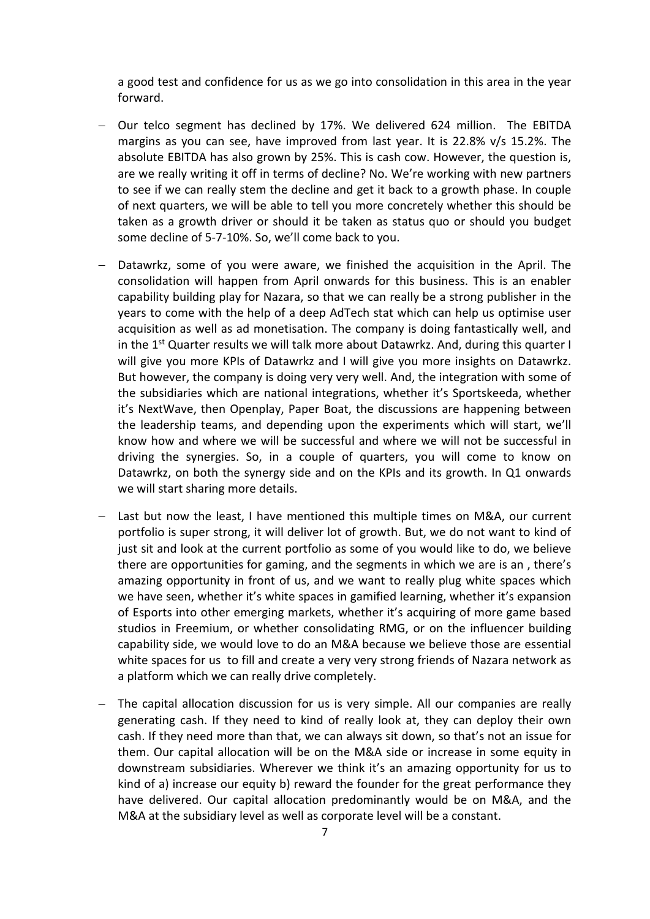a good test and confidence for us as we go into consolidation in this area in the year forward.

- Our telco segment has declined by 17%. We delivered 624 million. The EBITDA margins as you can see, have improved from last year. It is 22.8% v/s 15.2%. The absolute EBITDA has also grown by 25%. This is cash cow. However, the question is, are we really writing it off in terms of decline? No. We're working with new partners to see if we can really stem the decline and get it back to a growth phase. In couple of next quarters, we will be able to tell you more concretely whether this should be taken as a growth driver or should it be taken as status quo or should you budget some decline of 5-7-10%. So, we'll come back to you.
- Datawrkz, some of you were aware, we finished the acquisition in the April. The consolidation will happen from April onwards for this business. This is an enabler capability building play for Nazara, so that we can really be a strong publisher in the years to come with the help of a deep AdTech stat which can help us optimise user acquisition as well as ad monetisation. The company is doing fantastically well, and in the  $1<sup>st</sup>$  Quarter results we will talk more about Datawrkz. And, during this quarter I will give you more KPIs of Datawrkz and I will give you more insights on Datawrkz. But however, the company is doing very very well. And, the integration with some of the subsidiaries which are national integrations, whether it's Sportskeeda, whether it's NextWave, then Openplay, Paper Boat, the discussions are happening between the leadership teams, and depending upon the experiments which will start, we'll know how and where we will be successful and where we will not be successful in driving the synergies. So, in a couple of quarters, you will come to know on Datawrkz, on both the synergy side and on the KPIs and its growth. In Q1 onwards we will start sharing more details.
- Last but now the least, I have mentioned this multiple times on M&A, our current portfolio is super strong, it will deliver lot of growth. But, we do not want to kind of just sit and look at the current portfolio as some of you would like to do, we believe there are opportunities for gaming, and the segments in which we are is an , there's amazing opportunity in front of us, and we want to really plug white spaces which we have seen, whether it's white spaces in gamified learning, whether it's expansion of Esports into other emerging markets, whether it's acquiring of more game based studios in Freemium, or whether consolidating RMG, or on the influencer building capability side, we would love to do an M&A because we believe those are essential white spaces for us to fill and create a very very strong friends of Nazara network as a platform which we can really drive completely.
- − The capital allocation discussion for us is very simple. All our companies are really generating cash. If they need to kind of really look at, they can deploy their own cash. If they need more than that, we can always sit down, so that's not an issue for them. Our capital allocation will be on the M&A side or increase in some equity in downstream subsidiaries. Wherever we think it's an amazing opportunity for us to kind of a) increase our equity b) reward the founder for the great performance they have delivered. Our capital allocation predominantly would be on M&A, and the M&A at the subsidiary level as well as corporate level will be a constant.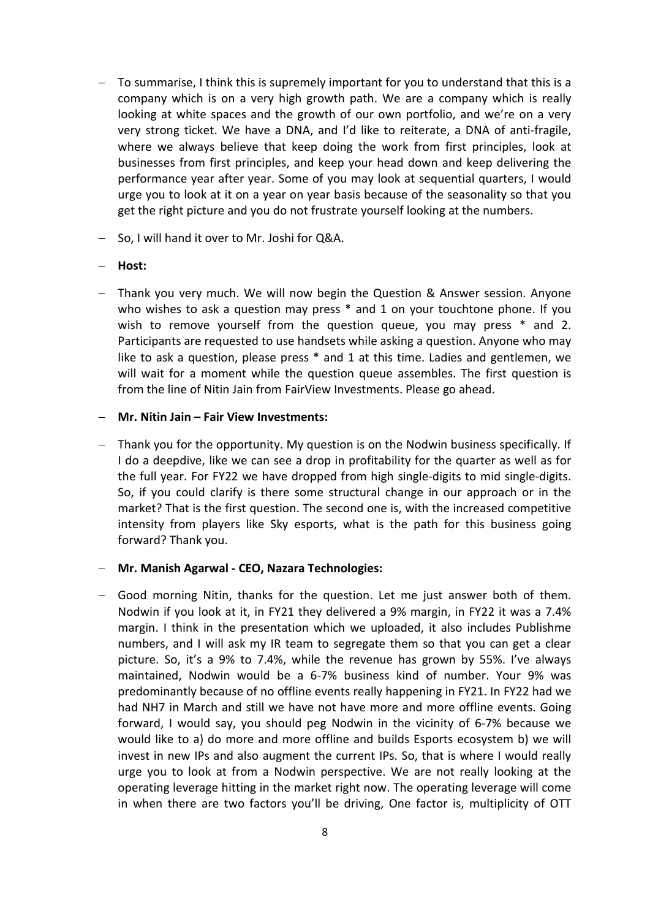- − To summarise, I think this is supremely important for you to understand that this is a company which is on a very high growth path. We are a company which is really looking at white spaces and the growth of our own portfolio, and we're on a very very strong ticket. We have a DNA, and I'd like to reiterate, a DNA of anti-fragile, where we always believe that keep doing the work from first principles, look at businesses from first principles, and keep your head down and keep delivering the performance year after year. Some of you may look at sequential quarters, I would urge you to look at it on a year on year basis because of the seasonality so that you get the right picture and you do not frustrate yourself looking at the numbers.
- − So, I will hand it over to Mr. Joshi for Q&A.
- − **Host:**
- − Thank you very much. We will now begin the Question & Answer session. Anyone who wishes to ask a question may press \* and 1 on your touchtone phone. If you wish to remove yourself from the question queue, you may press \* and 2. Participants are requested to use handsets while asking a question. Anyone who may like to ask a question, please press \* and 1 at this time. Ladies and gentlemen, we will wait for a moment while the question queue assembles. The first question is from the line of Nitin Jain from FairView Investments. Please go ahead.

### − **Mr. Nitin Jain – Fair View Investments:**

- − Thank you for the opportunity. My question is on the Nodwin business specifically. If I do a deepdive, like we can see a drop in profitability for the quarter as well as for the full year. For FY22 we have dropped from high single-digits to mid single-digits. So, if you could clarify is there some structural change in our approach or in the market? That is the first question. The second one is, with the increased competitive intensity from players like Sky esports, what is the path for this business going forward? Thank you.
- − **Mr. Manish Agarwal - CEO, Nazara Technologies:**
- − Good morning Nitin, thanks for the question. Let me just answer both of them. Nodwin if you look at it, in FY21 they delivered a 9% margin, in FY22 it was a 7.4% margin. I think in the presentation which we uploaded, it also includes Publishme numbers, and I will ask my IR team to segregate them so that you can get a clear picture. So, it's a 9% to 7.4%, while the revenue has grown by 55%. I've always maintained, Nodwin would be a 6-7% business kind of number. Your 9% was predominantly because of no offline events really happening in FY21. In FY22 had we had NH7 in March and still we have not have more and more offline events. Going forward, I would say, you should peg Nodwin in the vicinity of 6-7% because we would like to a) do more and more offline and builds Esports ecosystem b) we will invest in new IPs and also augment the current IPs. So, that is where I would really urge you to look at from a Nodwin perspective. We are not really looking at the operating leverage hitting in the market right now. The operating leverage will come in when there are two factors you'll be driving, One factor is, multiplicity of OTT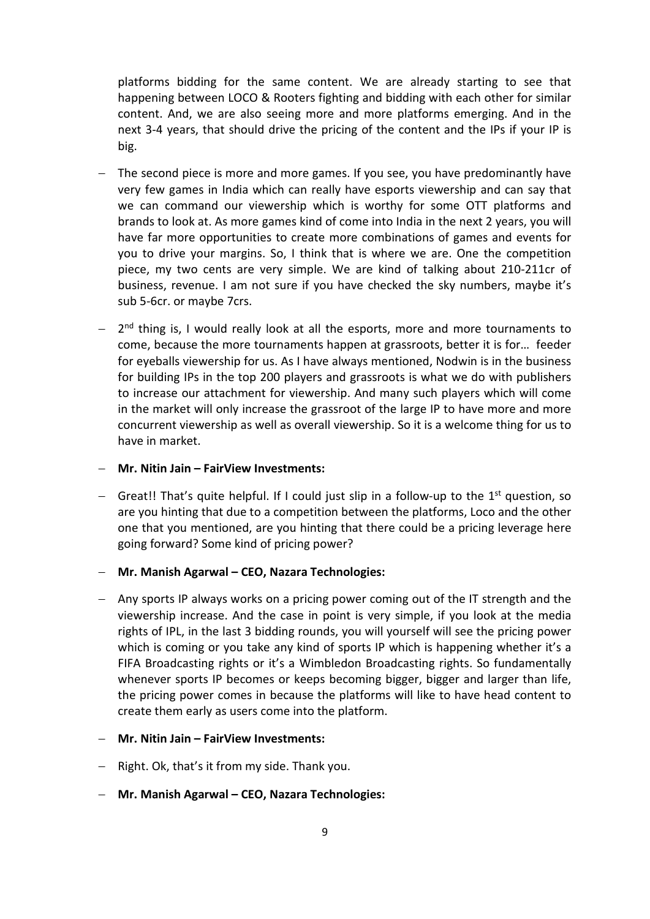platforms bidding for the same content. We are already starting to see that happening between LOCO & Rooters fighting and bidding with each other for similar content. And, we are also seeing more and more platforms emerging. And in the next 3-4 years, that should drive the pricing of the content and the IPs if your IP is big.

- − The second piece is more and more games. If you see, you have predominantly have very few games in India which can really have esports viewership and can say that we can command our viewership which is worthy for some OTT platforms and brands to look at. As more games kind of come into India in the next 2 years, you will have far more opportunities to create more combinations of games and events for you to drive your margins. So, I think that is where we are. One the competition piece, my two cents are very simple. We are kind of talking about 210-211cr of business, revenue. I am not sure if you have checked the sky numbers, maybe it's sub 5-6cr. or maybe 7crs.
- − 2<sup>nd</sup> thing is, I would really look at all the esports, more and more tournaments to come, because the more tournaments happen at grassroots, better it is for… feeder for eyeballs viewership for us. As I have always mentioned, Nodwin is in the business for building IPs in the top 200 players and grassroots is what we do with publishers to increase our attachment for viewership. And many such players which will come in the market will only increase the grassroot of the large IP to have more and more concurrent viewership as well as overall viewership. So it is a welcome thing for us to have in market.

### − **Mr. Nitin Jain – FairView Investments:**

- − Great!! That's quite helpful. If I could just slip in a follow-up to the 1<sup>st</sup> question, so are you hinting that due to a competition between the platforms, Loco and the other one that you mentioned, are you hinting that there could be a pricing leverage here going forward? Some kind of pricing power?
- − **Mr. Manish Agarwal – CEO, Nazara Technologies:**
- − Any sports IP always works on a pricing power coming out of the IT strength and the viewership increase. And the case in point is very simple, if you look at the media rights of IPL, in the last 3 bidding rounds, you will yourself will see the pricing power which is coming or you take any kind of sports IP which is happening whether it's a FIFA Broadcasting rights or it's a Wimbledon Broadcasting rights. So fundamentally whenever sports IP becomes or keeps becoming bigger, bigger and larger than life, the pricing power comes in because the platforms will like to have head content to create them early as users come into the platform.

## − **Mr. Nitin Jain – FairView Investments:**

- − Right. Ok, that's it from my side. Thank you.
- − **Mr. Manish Agarwal – CEO, Nazara Technologies:**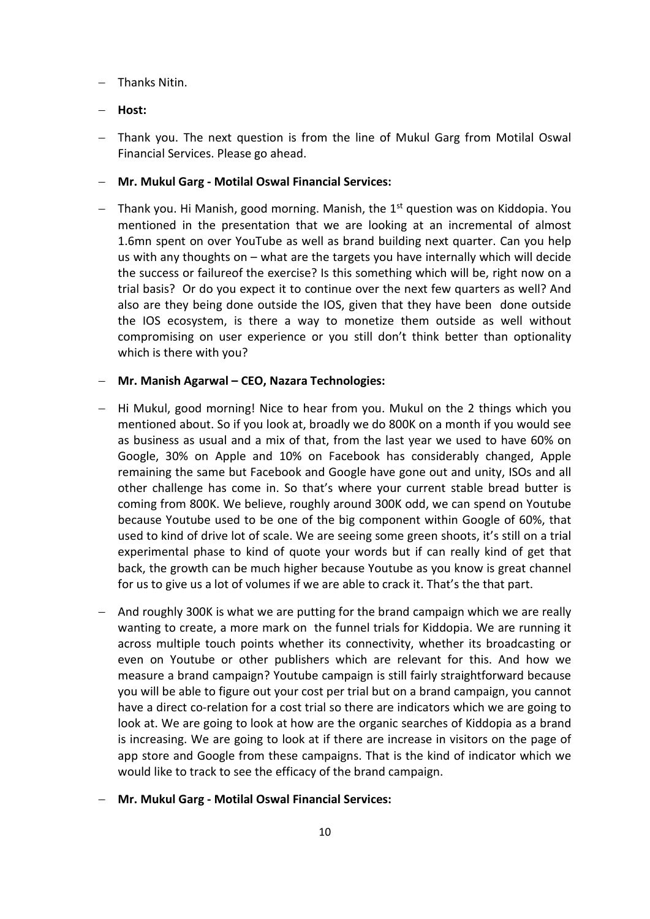#### − Thanks Nitin.

#### − **Host:**

− Thank you. The next question is from the line of Mukul Garg from Motilal Oswal Financial Services. Please go ahead.

− **Mr. Mukul Garg - Motilal Oswal Financial Services:**

− Thank you. Hi Manish, good morning. Manish, the 1<sup>st</sup> question was on Kiddopia. You mentioned in the presentation that we are looking at an incremental of almost 1.6mn spent on over YouTube as well as brand building next quarter. Can you help us with any thoughts on – what are the targets you have internally which will decide the success or failureof the exercise? Is this something which will be, right now on a trial basis? Or do you expect it to continue over the next few quarters as well? And also are they being done outside the IOS, given that they have been done outside the IOS ecosystem, is there a way to monetize them outside as well without compromising on user experience or you still don't think better than optionality which is there with you?

#### − **Mr. Manish Agarwal – CEO, Nazara Technologies:**

- − Hi Mukul, good morning! Nice to hear from you. Mukul on the 2 things which you mentioned about. So if you look at, broadly we do 800K on a month if you would see as business as usual and a mix of that, from the last year we used to have 60% on Google, 30% on Apple and 10% on Facebook has considerably changed, Apple remaining the same but Facebook and Google have gone out and unity, ISOs and all other challenge has come in. So that's where your current stable bread butter is coming from 800K. We believe, roughly around 300K odd, we can spend on Youtube because Youtube used to be one of the big component within Google of 60%, that used to kind of drive lot of scale. We are seeing some green shoots, it's still on a trial experimental phase to kind of quote your words but if can really kind of get that back, the growth can be much higher because Youtube as you know is great channel for us to give us a lot of volumes if we are able to crack it. That's the that part.
- − And roughly 300K is what we are putting for the brand campaign which we are really wanting to create, a more mark on the funnel trials for Kiddopia. We are running it across multiple touch points whether its connectivity, whether its broadcasting or even on Youtube or other publishers which are relevant for this. And how we measure a brand campaign? Youtube campaign is still fairly straightforward because you will be able to figure out your cost per trial but on a brand campaign, you cannot have a direct co-relation for a cost trial so there are indicators which we are going to look at. We are going to look at how are the organic searches of Kiddopia as a brand is increasing. We are going to look at if there are increase in visitors on the page of app store and Google from these campaigns. That is the kind of indicator which we would like to track to see the efficacy of the brand campaign.
- − **Mr. Mukul Garg - Motilal Oswal Financial Services:**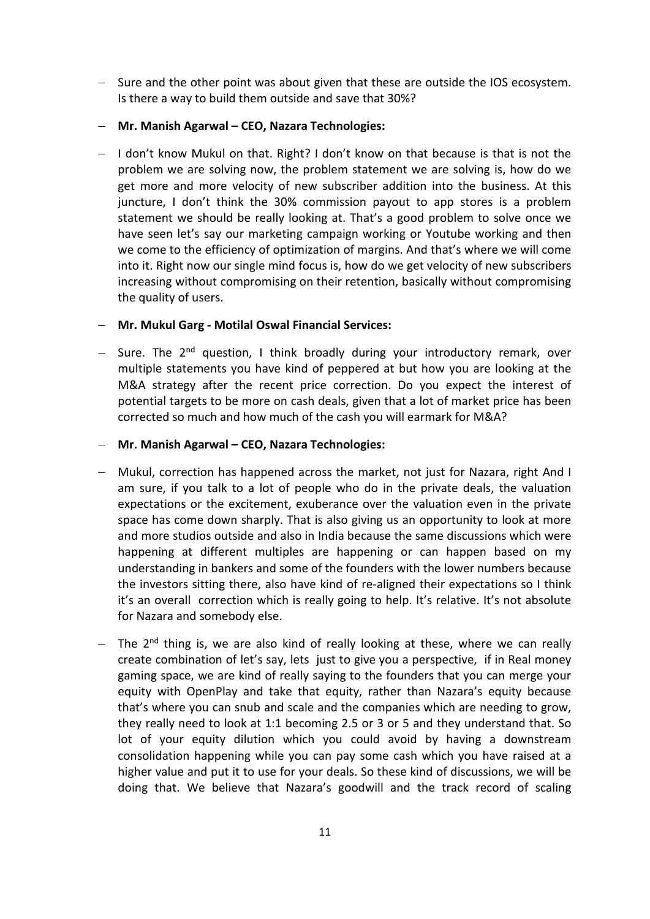- − Sure and the other point was about given that these are outside the IOS ecosystem. Is there a way to build them outside and save that 30%?
- − **Mr. Manish Agarwal – CEO, Nazara Technologies:**
- − I don't know Mukul on that. Right? I don't know on that because is that is not the problem we are solving now, the problem statement we are solving is, how do we get more and more velocity of new subscriber addition into the business. At this juncture, I don't think the 30% commission payout to app stores is a problem statement we should be really looking at. That's a good problem to solve once we have seen let's say our marketing campaign working or Youtube working and then we come to the efficiency of optimization of margins. And that's where we will come into it. Right now our single mind focus is, how do we get velocity of new subscribers increasing without compromising on their retention, basically without compromising the quality of users.

## − **Mr. Mukul Garg - Motilal Oswal Financial Services:**

- − Sure. The 2<sup>nd</sup> question, I think broadly during your introductory remark, over multiple statements you have kind of peppered at but how you are looking at the M&A strategy after the recent price correction. Do you expect the interest of potential targets to be more on cash deals, given that a lot of market price has been corrected so much and how much of the cash you will earmark for M&A?
- − **Mr. Manish Agarwal – CEO, Nazara Technologies:**
- − Mukul, correction has happened across the market, not just for Nazara, right And I am sure, if you talk to a lot of people who do in the private deals, the valuation expectations or the excitement, exuberance over the valuation even in the private space has come down sharply. That is also giving us an opportunity to look at more and more studios outside and also in India because the same discussions which were happening at different multiples are happening or can happen based on my understanding in bankers and some of the founders with the lower numbers because the investors sitting there, also have kind of re-aligned their expectations so I think it's an overall correction which is really going to help. It's relative. It's not absolute for Nazara and somebody else.
- − The 2<sup>nd</sup> thing is, we are also kind of really looking at these, where we can really create combination of let's say, lets just to give you a perspective, if in Real money gaming space, we are kind of really saying to the founders that you can merge your equity with OpenPlay and take that equity, rather than Nazara's equity because that's where you can snub and scale and the companies which are needing to grow, they really need to look at 1:1 becoming 2.5 or 3 or 5 and they understand that. So lot of your equity dilution which you could avoid by having a downstream consolidation happening while you can pay some cash which you have raised at a higher value and put it to use for your deals. So these kind of discussions, we will be doing that. We believe that Nazara's goodwill and the track record of scaling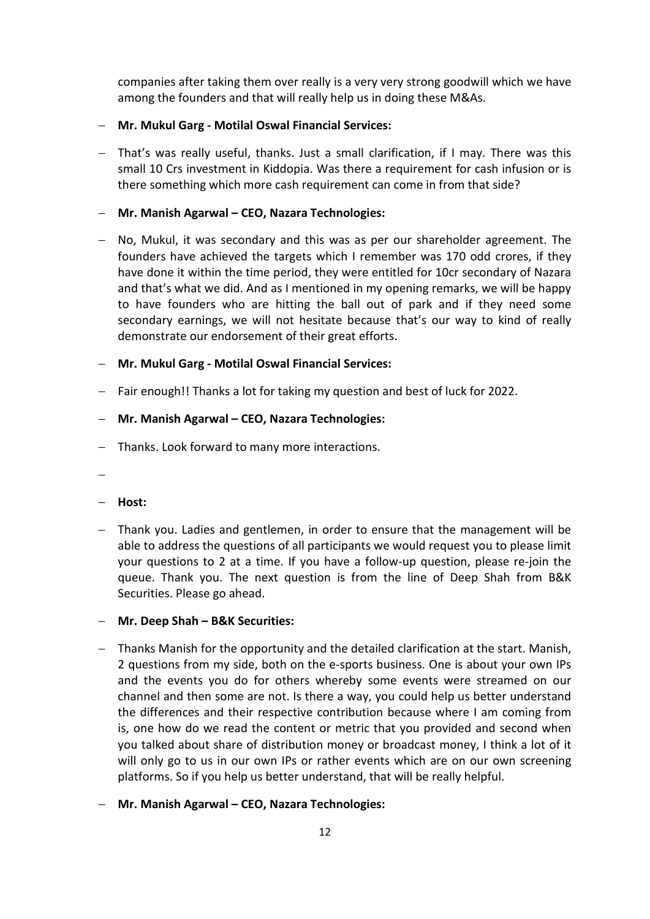companies after taking them over really is a very very strong goodwill which we have among the founders and that will really help us in doing these M&As.

### − **Mr. Mukul Garg - Motilal Oswal Financial Services:**

− That's was really useful, thanks. Just a small clarification, if I may. There was this small 10 Crs investment in Kiddopia. Was there a requirement for cash infusion or is there something which more cash requirement can come in from that side?

### − **Mr. Manish Agarwal – CEO, Nazara Technologies:**

− No, Mukul, it was secondary and this was as per our shareholder agreement. The founders have achieved the targets which I remember was 170 odd crores, if they have done it within the time period, they were entitled for 10cr secondary of Nazara and that's what we did. And as I mentioned in my opening remarks, we will be happy to have founders who are hitting the ball out of park and if they need some secondary earnings, we will not hesitate because that's our way to kind of really demonstrate our endorsement of their great efforts.

#### − **Mr. Mukul Garg - Motilal Oswal Financial Services:**

− Fair enough!! Thanks a lot for taking my question and best of luck for 2022.

#### − **Mr. Manish Agarwal – CEO, Nazara Technologies:**

− Thanks. Look forward to many more interactions.

−

#### − **Host:**

− Thank you. Ladies and gentlemen, in order to ensure that the management will be able to address the questions of all participants we would request you to please limit your questions to 2 at a time. If you have a follow-up question, please re-join the queue. Thank you. The next question is from the line of Deep Shah from B&K Securities. Please go ahead.

#### − **Mr. Deep Shah – B&K Securities:**

- − Thanks Manish for the opportunity and the detailed clarification at the start. Manish, 2 questions from my side, both on the e-sports business. One is about your own IPs and the events you do for others whereby some events were streamed on our channel and then some are not. Is there a way, you could help us better understand the differences and their respective contribution because where I am coming from is, one how do we read the content or metric that you provided and second when you talked about share of distribution money or broadcast money, I think a lot of it will only go to us in our own IPs or rather events which are on our own screening platforms. So if you help us better understand, that will be really helpful.
- − **Mr. Manish Agarwal – CEO, Nazara Technologies:**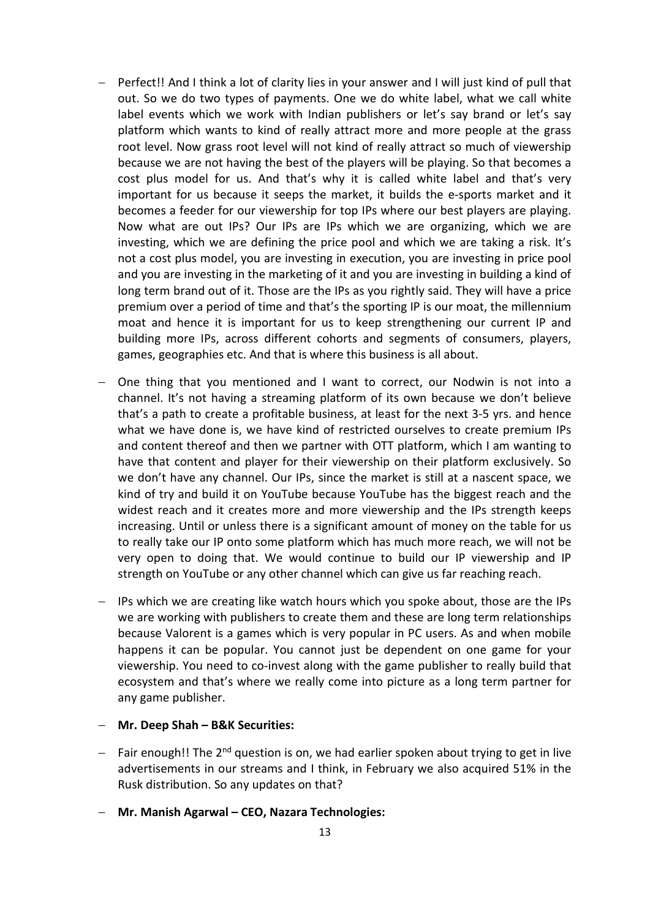- − Perfect!! And I think a lot of clarity lies in your answer and I will just kind of pull that out. So we do two types of payments. One we do white label, what we call white label events which we work with Indian publishers or let's say brand or let's say platform which wants to kind of really attract more and more people at the grass root level. Now grass root level will not kind of really attract so much of viewership because we are not having the best of the players will be playing. So that becomes a cost plus model for us. And that's why it is called white label and that's very important for us because it seeps the market, it builds the e-sports market and it becomes a feeder for our viewership for top IPs where our best players are playing. Now what are out IPs? Our IPs are IPs which we are organizing, which we are investing, which we are defining the price pool and which we are taking a risk. It's not a cost plus model, you are investing in execution, you are investing in price pool and you are investing in the marketing of it and you are investing in building a kind of long term brand out of it. Those are the IPs as you rightly said. They will have a price premium over a period of time and that's the sporting IP is our moat, the millennium moat and hence it is important for us to keep strengthening our current IP and building more IPs, across different cohorts and segments of consumers, players, games, geographies etc. And that is where this business is all about.
- − One thing that you mentioned and I want to correct, our Nodwin is not into a channel. It's not having a streaming platform of its own because we don't believe that's a path to create a profitable business, at least for the next 3-5 yrs. and hence what we have done is, we have kind of restricted ourselves to create premium IPs and content thereof and then we partner with OTT platform, which I am wanting to have that content and player for their viewership on their platform exclusively. So we don't have any channel. Our IPs, since the market is still at a nascent space, we kind of try and build it on YouTube because YouTube has the biggest reach and the widest reach and it creates more and more viewership and the IPs strength keeps increasing. Until or unless there is a significant amount of money on the table for us to really take our IP onto some platform which has much more reach, we will not be very open to doing that. We would continue to build our IP viewership and IP strength on YouTube or any other channel which can give us far reaching reach.
- − IPs which we are creating like watch hours which you spoke about, those are the IPs we are working with publishers to create them and these are long term relationships because Valorent is a games which is very popular in PC users. As and when mobile happens it can be popular. You cannot just be dependent on one game for your viewership. You need to co-invest along with the game publisher to really build that ecosystem and that's where we really come into picture as a long term partner for any game publisher.
- − **Mr. Deep Shah – B&K Securities:**
- − Fair enough!! The 2<sup>nd</sup> question is on, we had earlier spoken about trying to get in live advertisements in our streams and I think, in February we also acquired 51% in the Rusk distribution. So any updates on that?
- − **Mr. Manish Agarwal – CEO, Nazara Technologies:**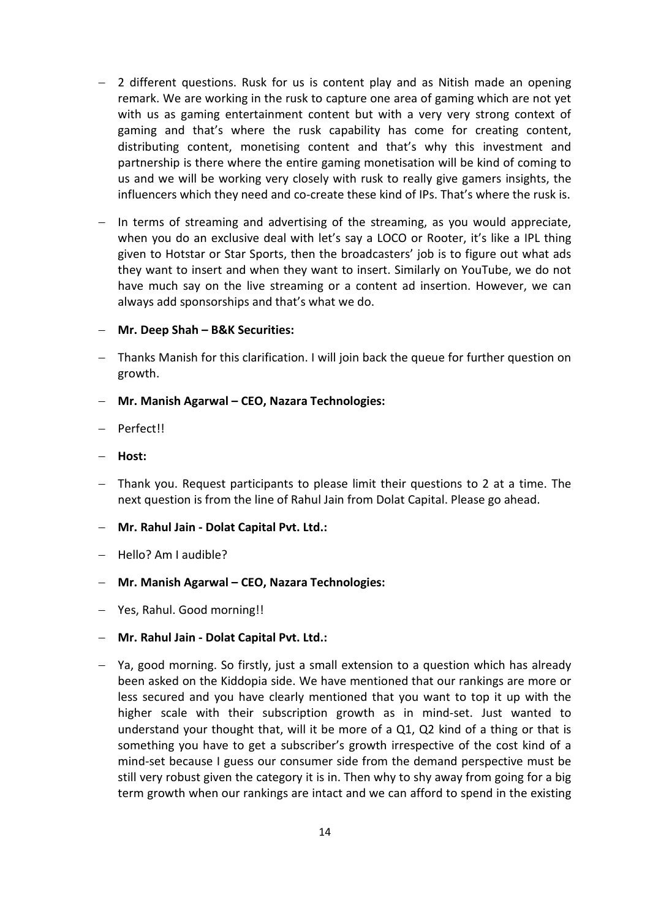- − 2 different questions. Rusk for us is content play and as Nitish made an opening remark. We are working in the rusk to capture one area of gaming which are not yet with us as gaming entertainment content but with a very very strong context of gaming and that's where the rusk capability has come for creating content, distributing content, monetising content and that's why this investment and partnership is there where the entire gaming monetisation will be kind of coming to us and we will be working very closely with rusk to really give gamers insights, the influencers which they need and co-create these kind of IPs. That's where the rusk is.
- − In terms of streaming and advertising of the streaming, as you would appreciate, when you do an exclusive deal with let's say a LOCO or Rooter, it's like a IPL thing given to Hotstar or Star Sports, then the broadcasters' job is to figure out what ads they want to insert and when they want to insert. Similarly on YouTube, we do not have much say on the live streaming or a content ad insertion. However, we can always add sponsorships and that's what we do.
- − **Mr. Deep Shah – B&K Securities:**
- − Thanks Manish for this clarification. I will join back the queue for further question on growth.
- − **Mr. Manish Agarwal – CEO, Nazara Technologies:**
- − Perfect!!
- − **Host:**
- − Thank you. Request participants to please limit their questions to 2 at a time. The next question is from the line of Rahul Jain from Dolat Capital. Please go ahead.
- − **Mr. Rahul Jain - Dolat Capital Pvt. Ltd.:**
- − Hello? Am I audible?
- − **Mr. Manish Agarwal – CEO, Nazara Technologies:**
- − Yes, Rahul. Good morning!!
- − **Mr. Rahul Jain - Dolat Capital Pvt. Ltd.:**
- − Ya, good morning. So firstly, just a small extension to a question which has already been asked on the Kiddopia side. We have mentioned that our rankings are more or less secured and you have clearly mentioned that you want to top it up with the higher scale with their subscription growth as in mind-set. Just wanted to understand your thought that, will it be more of a  $Q1$ ,  $Q2$  kind of a thing or that is something you have to get a subscriber's growth irrespective of the cost kind of a mind-set because I guess our consumer side from the demand perspective must be still very robust given the category it is in. Then why to shy away from going for a big term growth when our rankings are intact and we can afford to spend in the existing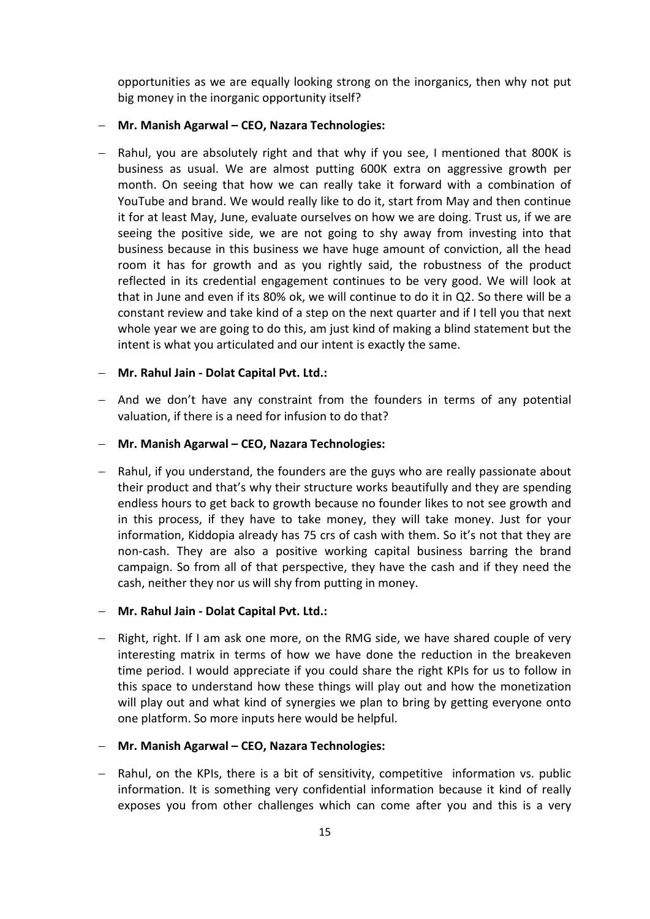opportunities as we are equally looking strong on the inorganics, then why not put big money in the inorganic opportunity itself?

### − **Mr. Manish Agarwal – CEO, Nazara Technologies:**

− Rahul, you are absolutely right and that why if you see, I mentioned that 800K is business as usual. We are almost putting 600K extra on aggressive growth per month. On seeing that how we can really take it forward with a combination of YouTube and brand. We would really like to do it, start from May and then continue it for at least May, June, evaluate ourselves on how we are doing. Trust us, if we are seeing the positive side, we are not going to shy away from investing into that business because in this business we have huge amount of conviction, all the head room it has for growth and as you rightly said, the robustness of the product reflected in its credential engagement continues to be very good. We will look at that in June and even if its 80% ok, we will continue to do it in Q2. So there will be a constant review and take kind of a step on the next quarter and if I tell you that next whole year we are going to do this, am just kind of making a blind statement but the intent is what you articulated and our intent is exactly the same.

## − **Mr. Rahul Jain - Dolat Capital Pvt. Ltd.:**

− And we don't have any constraint from the founders in terms of any potential valuation, if there is a need for infusion to do that?

## − **Mr. Manish Agarwal – CEO, Nazara Technologies:**

− Rahul, if you understand, the founders are the guys who are really passionate about their product and that's why their structure works beautifully and they are spending endless hours to get back to growth because no founder likes to not see growth and in this process, if they have to take money, they will take money. Just for your information, Kiddopia already has 75 crs of cash with them. So it's not that they are non-cash. They are also a positive working capital business barring the brand campaign. So from all of that perspective, they have the cash and if they need the cash, neither they nor us will shy from putting in money.

### − **Mr. Rahul Jain - Dolat Capital Pvt. Ltd.:**

− Right, right. If I am ask one more, on the RMG side, we have shared couple of very interesting matrix in terms of how we have done the reduction in the breakeven time period. I would appreciate if you could share the right KPIs for us to follow in this space to understand how these things will play out and how the monetization will play out and what kind of synergies we plan to bring by getting everyone onto one platform. So more inputs here would be helpful.

# − **Mr. Manish Agarwal – CEO, Nazara Technologies:**

− Rahul, on the KPIs, there is a bit of sensitivity, competitive information vs. public information. It is something very confidential information because it kind of really exposes you from other challenges which can come after you and this is a very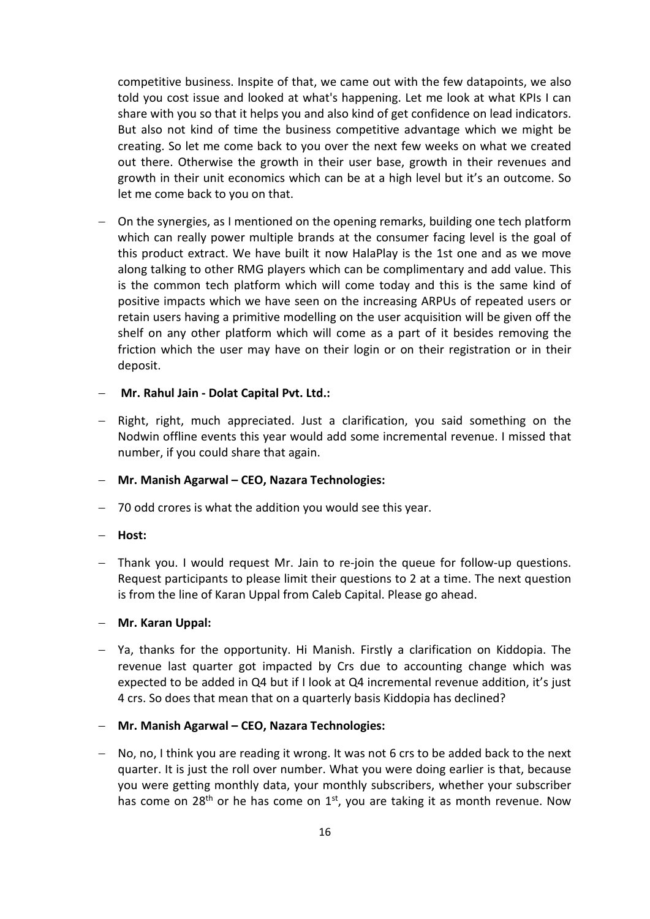competitive business. Inspite of that, we came out with the few datapoints, we also told you cost issue and looked at what's happening. Let me look at what KPIs I can share with you so that it helps you and also kind of get confidence on lead indicators. But also not kind of time the business competitive advantage which we might be creating. So let me come back to you over the next few weeks on what we created out there. Otherwise the growth in their user base, growth in their revenues and growth in their unit economics which can be at a high level but it's an outcome. So let me come back to you on that.

On the synergies, as I mentioned on the opening remarks, building one tech platform which can really power multiple brands at the consumer facing level is the goal of this product extract. We have built it now HalaPlay is the 1st one and as we move along talking to other RMG players which can be complimentary and add value. This is the common tech platform which will come today and this is the same kind of positive impacts which we have seen on the increasing ARPUs of repeated users or retain users having a primitive modelling on the user acquisition will be given off the shelf on any other platform which will come as a part of it besides removing the friction which the user may have on their login or on their registration or in their deposit.

### − **Mr. Rahul Jain - Dolat Capital Pvt. Ltd.:**

− Right, right, much appreciated. Just a clarification, you said something on the Nodwin offline events this year would add some incremental revenue. I missed that number, if you could share that again.

− **Mr. Manish Agarwal – CEO, Nazara Technologies:**

- − 70 odd crores is what the addition you would see this year.
- − **Host:**
- − Thank you. I would request Mr. Jain to re-join the queue for follow-up questions. Request participants to please limit their questions to 2 at a time. The next question is from the line of Karan Uppal from Caleb Capital. Please go ahead.

#### − **Mr. Karan Uppal:**

− Ya, thanks for the opportunity. Hi Manish. Firstly a clarification on Kiddopia. The revenue last quarter got impacted by Crs due to accounting change which was expected to be added in Q4 but if I look at Q4 incremental revenue addition, it's just 4 crs. So does that mean that on a quarterly basis Kiddopia has declined?

#### − **Mr. Manish Agarwal – CEO, Nazara Technologies:**

− No, no, I think you are reading it wrong. It was not 6 crs to be added back to the next quarter. It is just the roll over number. What you were doing earlier is that, because you were getting monthly data, your monthly subscribers, whether your subscriber has come on  $28<sup>th</sup>$  or he has come on  $1<sup>st</sup>$ , you are taking it as month revenue. Now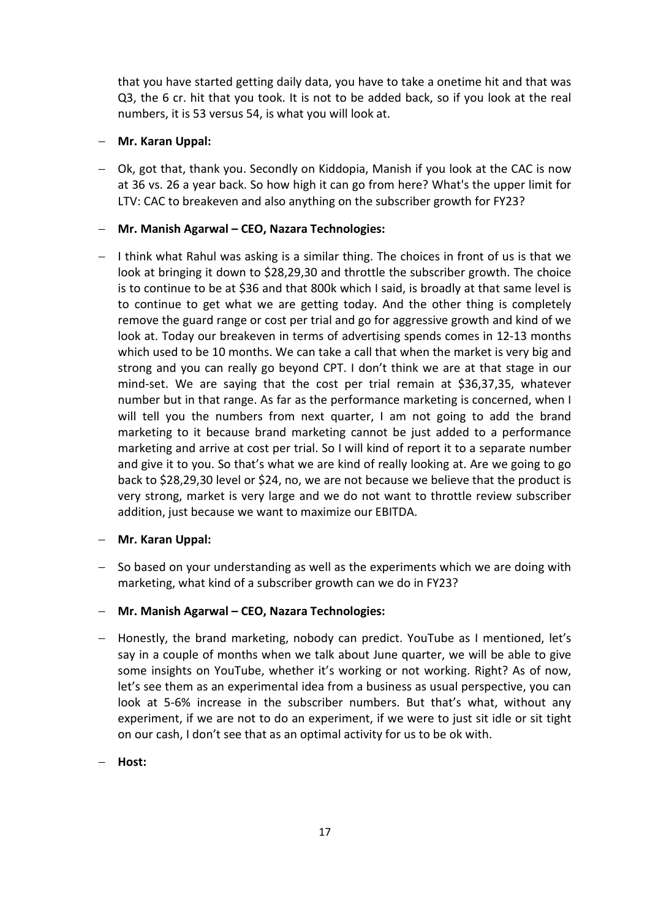that you have started getting daily data, you have to take a onetime hit and that was Q3, the 6 cr. hit that you took. It is not to be added back, so if you look at the real numbers, it is 53 versus 54, is what you will look at.

## − **Mr. Karan Uppal:**

− Ok, got that, thank you. Secondly on Kiddopia, Manish if you look at the CAC is now at 36 vs. 26 a year back. So how high it can go from here? What's the upper limit for LTV: CAC to breakeven and also anything on the subscriber growth for FY23?

# − **Mr. Manish Agarwal – CEO, Nazara Technologies:**

− I think what Rahul was asking is a similar thing. The choices in front of us is that we look at bringing it down to \$28,29,30 and throttle the subscriber growth. The choice is to continue to be at \$36 and that 800k which I said, is broadly at that same level is to continue to get what we are getting today. And the other thing is completely remove the guard range or cost per trial and go for aggressive growth and kind of we look at. Today our breakeven in terms of advertising spends comes in 12-13 months which used to be 10 months. We can take a call that when the market is very big and strong and you can really go beyond CPT. I don't think we are at that stage in our mind-set. We are saying that the cost per trial remain at \$36,37,35, whatever number but in that range. As far as the performance marketing is concerned, when I will tell you the numbers from next quarter, I am not going to add the brand marketing to it because brand marketing cannot be just added to a performance marketing and arrive at cost per trial. So I will kind of report it to a separate number and give it to you. So that's what we are kind of really looking at. Are we going to go back to \$28,29,30 level or \$24, no, we are not because we believe that the product is very strong, market is very large and we do not want to throttle review subscriber addition, just because we want to maximize our EBITDA.

# − **Mr. Karan Uppal:**

− So based on your understanding as well as the experiments which we are doing with marketing, what kind of a subscriber growth can we do in FY23?

# − **Mr. Manish Agarwal – CEO, Nazara Technologies:**

− Honestly, the brand marketing, nobody can predict. YouTube as I mentioned, let's say in a couple of months when we talk about June quarter, we will be able to give some insights on YouTube, whether it's working or not working. Right? As of now, let's see them as an experimental idea from a business as usual perspective, you can look at 5-6% increase in the subscriber numbers. But that's what, without any experiment, if we are not to do an experiment, if we were to just sit idle or sit tight on our cash, I don't see that as an optimal activity for us to be ok with.

# − **Host:**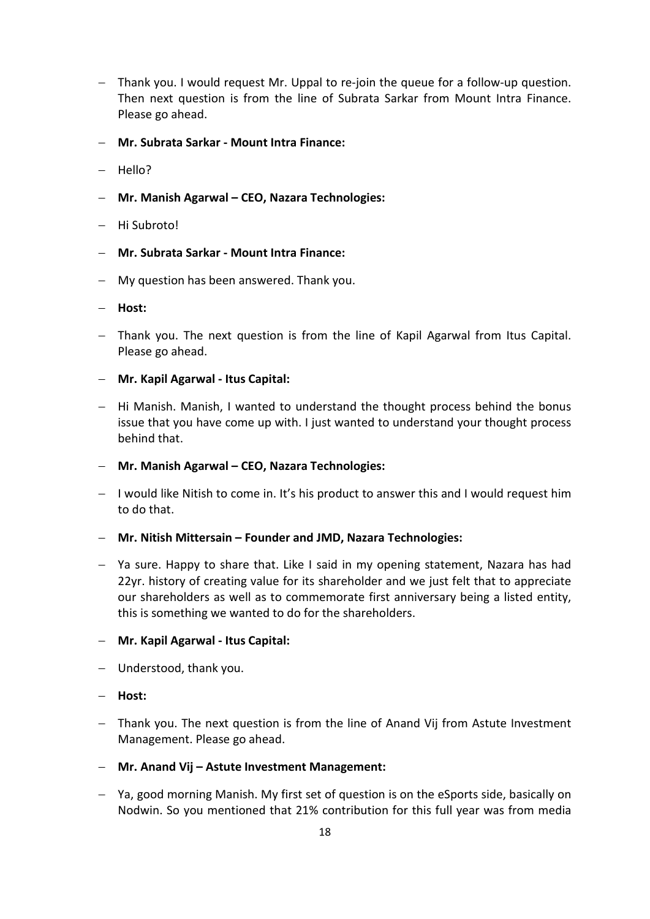- − Thank you. I would request Mr. Uppal to re-join the queue for a follow-up question. Then next question is from the line of Subrata Sarkar from Mount Intra Finance. Please go ahead.
- − **Mr. Subrata Sarkar - Mount Intra Finance:**
- − Hello?
- − **Mr. Manish Agarwal – CEO, Nazara Technologies:**
- − Hi Subroto!
- − **Mr. Subrata Sarkar - Mount Intra Finance:**
- − My question has been answered. Thank you.
- − **Host:**
- − Thank you. The next question is from the line of Kapil Agarwal from Itus Capital. Please go ahead.
- − **Mr. Kapil Agarwal - Itus Capital:**
- − Hi Manish. Manish, I wanted to understand the thought process behind the bonus issue that you have come up with. I just wanted to understand your thought process behind that.
- − **Mr. Manish Agarwal – CEO, Nazara Technologies:**
- − I would like Nitish to come in. It's his product to answer this and I would request him to do that.
- − **Mr. Nitish Mittersain – Founder and JMD, Nazara Technologies:**
- − Ya sure. Happy to share that. Like I said in my opening statement, Nazara has had 22yr. history of creating value for its shareholder and we just felt that to appreciate our shareholders as well as to commemorate first anniversary being a listed entity, this is something we wanted to do for the shareholders.

### − **Mr. Kapil Agarwal - Itus Capital:**

- − Understood, thank you.
- − **Host:**
- − Thank you. The next question is from the line of Anand Vij from Astute Investment Management. Please go ahead.

### − **Mr. Anand Vij – Astute Investment Management:**

− Ya, good morning Manish. My first set of question is on the eSports side, basically on Nodwin. So you mentioned that 21% contribution for this full year was from media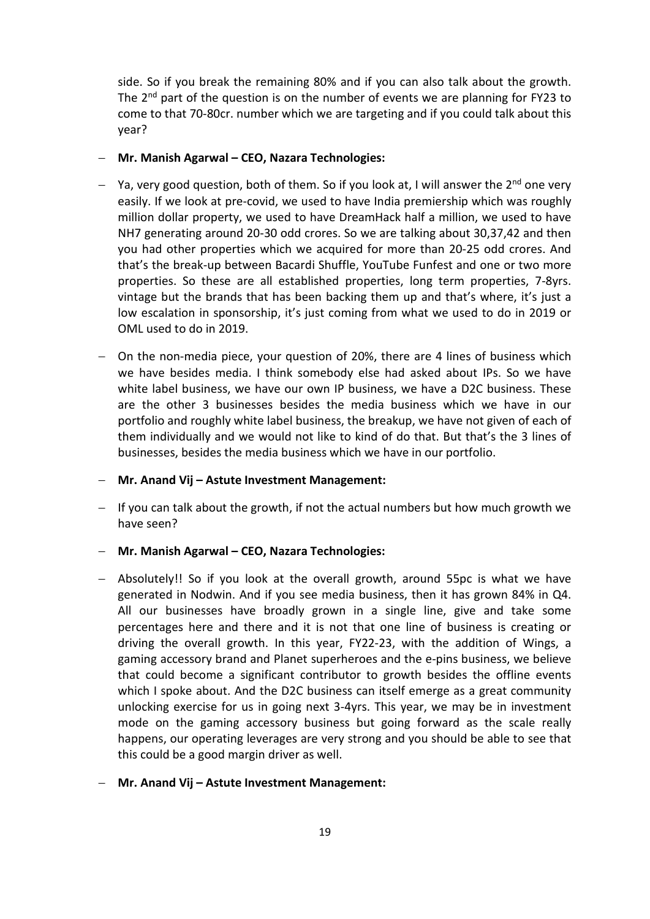side. So if you break the remaining 80% and if you can also talk about the growth. The  $2<sup>nd</sup>$  part of the question is on the number of events we are planning for FY23 to come to that 70-80cr. number which we are targeting and if you could talk about this year?

- − **Mr. Manish Agarwal – CEO, Nazara Technologies:**
- − Ya, very good question, both of them. So if you look at, I will answer the 2<sup>nd</sup> one very easily. If we look at pre-covid, we used to have India premiership which was roughly million dollar property, we used to have DreamHack half a million, we used to have NH7 generating around 20-30 odd crores. So we are talking about 30,37,42 and then you had other properties which we acquired for more than 20-25 odd crores. And that's the break-up between Bacardi Shuffle, YouTube Funfest and one or two more properties. So these are all established properties, long term properties, 7-8yrs. vintage but the brands that has been backing them up and that's where, it's just a low escalation in sponsorship, it's just coming from what we used to do in 2019 or OML used to do in 2019.
- − On the non-media piece, your question of 20%, there are 4 lines of business which we have besides media. I think somebody else had asked about IPs. So we have white label business, we have our own IP business, we have a D2C business. These are the other 3 businesses besides the media business which we have in our portfolio and roughly white label business, the breakup, we have not given of each of them individually and we would not like to kind of do that. But that's the 3 lines of businesses, besides the media business which we have in our portfolio.

#### − **Mr. Anand Vij – Astute Investment Management:**

− If you can talk about the growth, if not the actual numbers but how much growth we have seen?

#### − **Mr. Manish Agarwal – CEO, Nazara Technologies:**

− Absolutely!! So if you look at the overall growth, around 55pc is what we have generated in Nodwin. And if you see media business, then it has grown 84% in Q4. All our businesses have broadly grown in a single line, give and take some percentages here and there and it is not that one line of business is creating or driving the overall growth. In this year, FY22-23, with the addition of Wings, a gaming accessory brand and Planet superheroes and the e-pins business, we believe that could become a significant contributor to growth besides the offline events which I spoke about. And the D2C business can itself emerge as a great community unlocking exercise for us in going next 3-4yrs. This year, we may be in investment mode on the gaming accessory business but going forward as the scale really happens, our operating leverages are very strong and you should be able to see that this could be a good margin driver as well.

#### − **Mr. Anand Vij – Astute Investment Management:**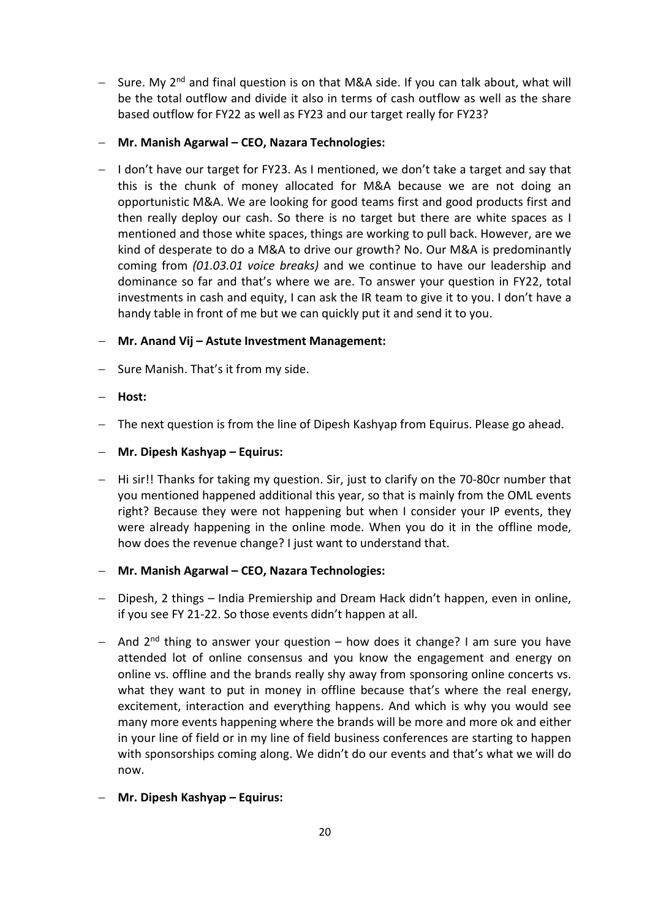- − Sure. My 2<sup>nd</sup> and final question is on that M&A side. If you can talk about, what will be the total outflow and divide it also in terms of cash outflow as well as the share based outflow for FY22 as well as FY23 and our target really for FY23?
- − **Mr. Manish Agarwal – CEO, Nazara Technologies:**
- − I don't have our target for FY23. As I mentioned, we don't take a target and say that this is the chunk of money allocated for M&A because we are not doing an opportunistic M&A. We are looking for good teams first and good products first and then really deploy our cash. So there is no target but there are white spaces as I mentioned and those white spaces, things are working to pull back. However, are we kind of desperate to do a M&A to drive our growth? No. Our M&A is predominantly coming from *(01.03.01 voice breaks)* and we continue to have our leadership and dominance so far and that's where we are. To answer your question in FY22, total investments in cash and equity, I can ask the IR team to give it to you. I don't have a handy table in front of me but we can quickly put it and send it to you.

# − **Mr. Anand Vij – Astute Investment Management:**

− Sure Manish. That's it from my side.

### − **Host:**

- − The next question is from the line of Dipesh Kashyap from Equirus. Please go ahead.
- − **Mr. Dipesh Kashyap – Equirus:**
- − Hi sir!! Thanks for taking my question. Sir, just to clarify on the 70-80cr number that you mentioned happened additional this year, so that is mainly from the OML events right? Because they were not happening but when I consider your IP events, they were already happening in the online mode. When you do it in the offline mode, how does the revenue change? I just want to understand that.
- − **Mr. Manish Agarwal – CEO, Nazara Technologies:**
- − Dipesh, 2 things India Premiership and Dream Hack didn't happen, even in online, if you see FY 21-22. So those events didn't happen at all.
- − And 2<sup>nd</sup> thing to answer your question how does it change? I am sure you have attended lot of online consensus and you know the engagement and energy on online vs. offline and the brands really shy away from sponsoring online concerts vs. what they want to put in money in offline because that's where the real energy, excitement, interaction and everything happens. And which is why you would see many more events happening where the brands will be more and more ok and either in your line of field or in my line of field business conferences are starting to happen with sponsorships coming along. We didn't do our events and that's what we will do now.
- − **Mr. Dipesh Kashyap – Equirus:**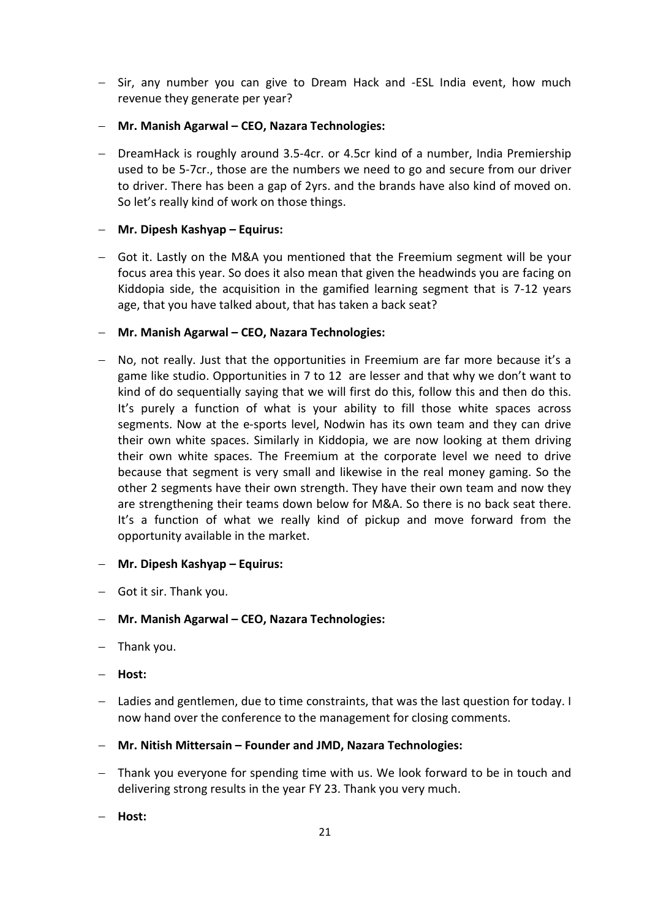- − Sir, any number you can give to Dream Hack and -ESL India event, how much revenue they generate per year?
- − **Mr. Manish Agarwal – CEO, Nazara Technologies:**
- − DreamHack is roughly around 3.5-4cr. or 4.5cr kind of a number, India Premiership used to be 5-7cr., those are the numbers we need to go and secure from our driver to driver. There has been a gap of 2yrs. and the brands have also kind of moved on. So let's really kind of work on those things.
- − **Mr. Dipesh Kashyap – Equirus:**
- − Got it. Lastly on the M&A you mentioned that the Freemium segment will be your focus area this year. So does it also mean that given the headwinds you are facing on Kiddopia side, the acquisition in the gamified learning segment that is 7-12 years age, that you have talked about, that has taken a back seat?

# − **Mr. Manish Agarwal – CEO, Nazara Technologies:**

- − No, not really. Just that the opportunities in Freemium are far more because it's a game like studio. Opportunities in 7 to 12 are lesser and that why we don't want to kind of do sequentially saying that we will first do this, follow this and then do this. It's purely a function of what is your ability to fill those white spaces across segments. Now at the e-sports level, Nodwin has its own team and they can drive their own white spaces. Similarly in Kiddopia, we are now looking at them driving their own white spaces. The Freemium at the corporate level we need to drive because that segment is very small and likewise in the real money gaming. So the other 2 segments have their own strength. They have their own team and now they are strengthening their teams down below for M&A. So there is no back seat there. It's a function of what we really kind of pickup and move forward from the opportunity available in the market.
- − **Mr. Dipesh Kashyap – Equirus:**
- − Got it sir. Thank you.
- − **Mr. Manish Agarwal – CEO, Nazara Technologies:**
- − Thank you.
- − **Host:**
- − Ladies and gentlemen, due to time constraints, that was the last question for today. I now hand over the conference to the management for closing comments.
- − **Mr. Nitish Mittersain – Founder and JMD, Nazara Technologies:**
- − Thank you everyone for spending time with us. We look forward to be in touch and delivering strong results in the year FY 23. Thank you very much.
- − **Host:**